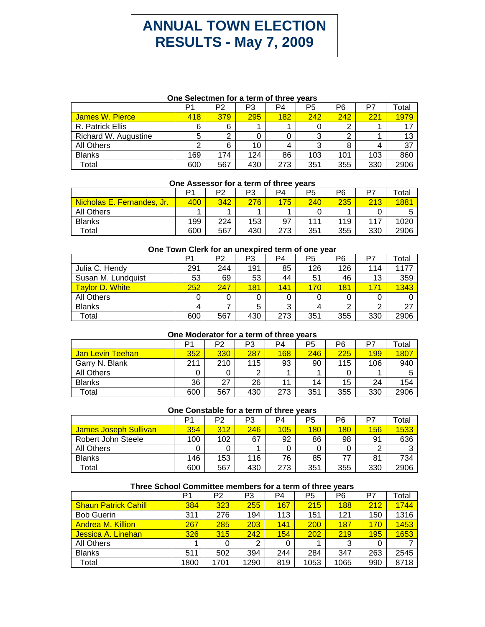# **ANNUAL TOWN ELECTION RESULTS - May 7, 2009**

### **One Selectmen for a term of three years**

|                        | P1  | P2  | P3  | P4  | P5     | P6  | P7  | Total |
|------------------------|-----|-----|-----|-----|--------|-----|-----|-------|
| <b>James W. Pierce</b> | 418 | 379 | 295 | 182 | 242    | 242 | 221 | 1979  |
| R. Patrick Ellis       | 6   | 6   |     |     |        | ◠   |     | 17    |
| Richard W. Augustine   |     |     |     |     | ົ<br>C | ⌒   |     | 13    |
| All Others             |     | 6   | 10  |     | ົ      | 8   |     | 37    |
| <b>Blanks</b>          | 169 | 174 | 124 | 86  | 103    | 101 | 103 | 860   |
| Total                  | 600 | 567 | 430 | 273 | 351    | 355 | 330 | 2906  |

#### **One Assessor for a term of three years**

|                            | ٥٠  | P2  | P3  | P <sub>4</sub> | P5  | P6  | P7  | otal |
|----------------------------|-----|-----|-----|----------------|-----|-----|-----|------|
| Nicholas E. Fernandes, Jr. | 400 | 342 | 276 | 175            | 240 | 235 | 213 | 1881 |
| All Others                 |     |     |     |                |     |     |     |      |
| <b>Blanks</b>              | 199 | 224 | 153 | 97             | 111 | 119 | 117 | 1020 |
| Total                      | 600 | 567 | 430 | 273            | 351 | 355 | 330 | 2906 |

#### **One Town Clerk for an unexpired term of one year**

|                    | P1  | P2  | P3  | P4     | P5  | P6  | P7  | Total |
|--------------------|-----|-----|-----|--------|-----|-----|-----|-------|
| Julia C. Hendy     | 291 | 244 | 191 | 85     | 126 | 126 | 114 | 1177  |
| Susan M. Lundquist | 53  | 69  | 53  | 44     | 51  | 46  | 13  | 359   |
| Taylor D. White    | 252 | 247 | 181 | 141    | 170 | 181 | 171 | 1343  |
| All Others         |     |     | 0   |        |     |     | 0   |       |
| <b>Blanks</b>      | 4   |     | 5   | າ<br>د |     | ⌒   | 2   | 27    |
| Total              | 600 | 567 | 430 | 273    | 351 | 355 | 330 | 2906  |

#### **One Moderator for a term of three years**

|                                   |     | P2  | P3  | P <sub>4</sub> | P5  | P6  | P7  | $\tau$ otal |
|-----------------------------------|-----|-----|-----|----------------|-----|-----|-----|-------------|
| <b>Teehan</b><br><b>Jan Levin</b> | 352 | 330 | 287 | 168            | 246 | 225 | 199 | <b>1807</b> |
| Garry N. Blank                    | 211 | 210 | 115 | 93             | 90  | 115 | 106 | 940         |
| All Others                        |     |     | っ   |                |     |     |     |             |
| <b>Blanks</b>                     | 36  | 27  | 26  | 11             | 14  | 15  | 24  | 154         |
| Total                             | 600 | 567 | 430 | 273            | 351 | 355 | 330 | 2906        |

## **One Constable for a term of three years**

|                              |     | P2  | P3  | P4  | P5  | P6  | P7  | Total |
|------------------------------|-----|-----|-----|-----|-----|-----|-----|-------|
| <b>James Joseph Sullivan</b> | 354 | 312 | 246 | 105 | 180 | 180 | 156 | 1533  |
| Robert John Steele           | 100 | 102 | 67  | 92  | 86  | 98  | 91  | 636   |
| All Others                   |     |     |     |     |     |     | ⌒   |       |
| <b>Blanks</b>                | 146 | 153 | 116 | 76  | 85  | 77  | 81  | 734   |
| Total                        | 600 | 567 | 430 | 273 | 351 | 355 | 330 | 2906  |

## **Three School Committee members for a term of three years**

|                             | P <sub>1</sub> | P2   | P3   | P4  | P <sub>5</sub> | P6         | P7  | Total |
|-----------------------------|----------------|------|------|-----|----------------|------------|-----|-------|
| <b>Shaun Patrick Cahill</b> | 384            | 323  | 255  | 167 | 215            | <b>188</b> | 212 | 1744  |
| <b>Bob Guerin</b>           | 311            | 276  | 194  | 113 | 151            | 121        | 150 | 1316  |
| <b>Andrea M. Killion</b>    | 267            | 285  | 203  | 141 | 200            | 187        | 170 | 1453  |
| Jessica A. Linehan          | 326            | 315  | 242  | 154 | 202            | 219        | 195 | 1653  |
| All Others                  |                |      | 2    | 0   |                | 3          | 0   |       |
| <b>Blanks</b>               | 511            | 502  | 394  | 244 | 284            | 347        | 263 | 2545  |
| Total                       | 1800           | 1701 | 1290 | 819 | 1053           | 1065       | 990 | 8718  |